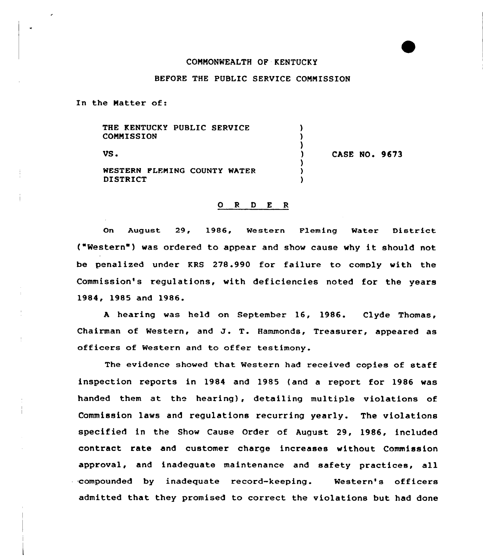## COMMONWEALTH OF KENTUCKY

## BEFORE THE PUBLIC SERVICE COMMISSION

 $\lambda$  $\lambda$ 

In the Matter of:

THE KENTUCKY PUBLIC SERVICE **COMMISSION** 

VS.  $\begin{array}{ccc} & & & \text{S.} \\ & & & \text{S.} \\ \end{array}$  CASE NO. 9673

WESTERN FLEMING COUNTY WATER DISTRICT

## O R D E R

On August 29, 1986, Western Fleming Water District ("Western" ) was ordered to appear and show cause why it should not be penalized under KRS 278.990 for failure to comply with the Commission's regulations, with deficiencies noted for the years 1984, 1985 and 1986.

<sup>A</sup> hearing was held on September 16, 1986. Clyde Thomas, Chairman of Western, and J. T. Hammonds, Treasurer, appeared as officers of Western and to offer testimony.

The evidence showed that Western had received copies of staff inspection reports in 1984 and 1985 {and a report for 1986 was handed them at the hearing), detailing multiple violations of Commission laws and regulations recurring yearly. The violations specified in the Show Cause Order of August 29, 1986, included contract rate and customer charge increases without Commission approval, and inadequate maintenance and safety practices, all compounded by inadequate record-keeping. Western's officers admitted that they promised to correct the violations but had done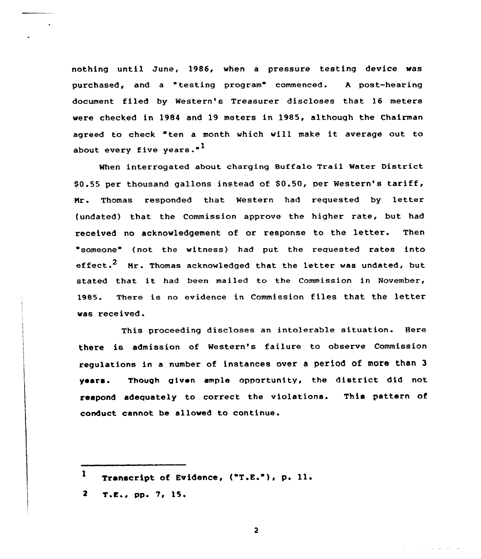nothing until June, 1986, when a pressure testing device was purchased, and a testing program" commenced. <sup>A</sup> post-hearing document filed by Western's Treasurer discloses that 16 meters were checked in 1984 and 19 meters in 1985, although the Chairman agreed to check "ten <sup>a</sup> month which will make it average out to about every five years."<sup>1</sup>

When interrogated about charging Buffalo Trail Water District  $$0.55$  per thousand gallons instead of  $$0.50$ , per Western's tariff, Nr. Thomas responded that Western had requested by letter (undated) that the Commission approve the higher rate, but had received no acknowledgement of or response to the letter. Then someone" (not the witness) had put the requested rates into effect.<sup>2</sup> Mr. Thomas acknowledged that the letter was undated, but stated that it had been mailed to the Commission in November, 1985. There is no evidence in Commission files that the letter was received.

This proceeding discloses an intolerable situation. Here there is admission of Western's failure to observe Commission regulations in a number of instances over a period of more than 3 years. Though given ample opportunity, the district did not respond adequately to correct the violations. This pattern of conduct cannot be allowed to continue.

 $\mathbf{2}$ 

<sup>1</sup> Transcript of Evidence, ("T.E."), p. 11.

 $2 \tT.E., pp. 7, 15.$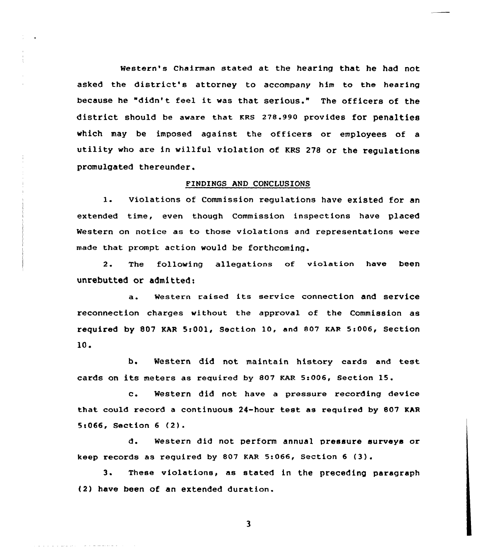Western's Chairman stated at the hearing that he had not asked the district's attorney to accompany him to the hearing because he "didn't feel it was that serious." The officers of the district should be aware that KRs 278.990 provides for penalties which may be imposed against the officers or employees of a utility who are in willful violation of KRS <sup>278</sup> or the regulations promulgated thereunder.

## FINDINGS AND CONCLVSIONS

1. Violations of Commission regulations have existed for an extended time, even though Commission inspections have placed Western on notice as to those violations and representations were made that pxompt action would be forthcoming.

2. The following allegations of violation have been unrebutted ar admitted:

a. Western raised its service connection and service reconnection charges without the approval of the Commission as required by 807 KAR 5:001, Section 10, and 807 KAR 5:006, Section 10.

b. Western did not maintain history cards and test. cards on its meters as required by 807 KAR 5:006, section 15.

c. Western did not have <sup>a</sup> pressure recording device that could record a continuous 24-hour test as required by 807 KAR Sc066, Section <sup>6</sup> (2).

d. Western did not perform annual pressure surveys or keep records as required by 807 KAR 5:066, Section  $6$  (3).

3. These violations, as stated in the preceding paragraph (2) have been of an extended duration.

 $\overline{\mathbf{3}}$ 

and a company of the members